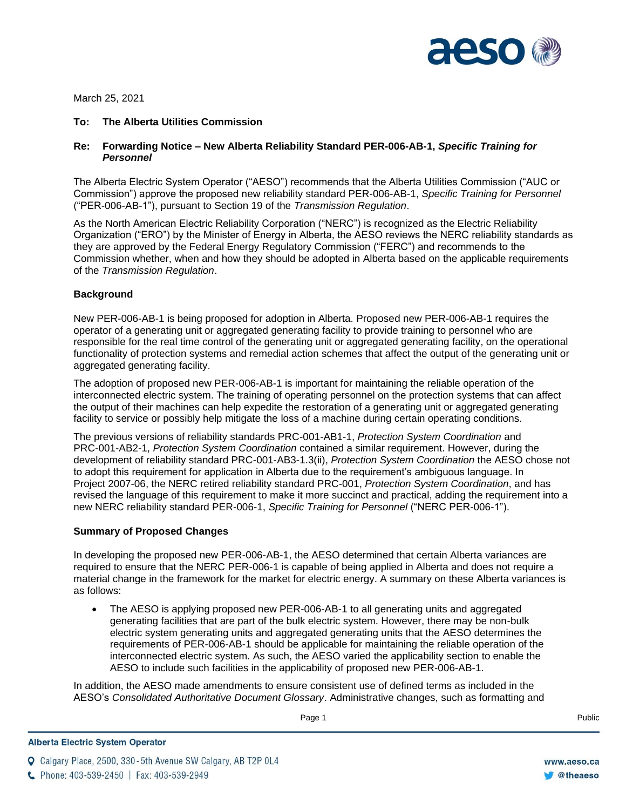

March 25, 2021

### **To: The Alberta Utilities Commission**

# **Re: Forwarding Notice – New Alberta Reliability Standard PER-006-AB-1,** *Specific Training for Personnel*

The Alberta Electric System Operator ("AESO") recommends that the Alberta Utilities Commission ("AUC or Commission") approve the proposed new reliability standard PER-006-AB-1, *Specific Training for Personnel*  ("PER-006-AB-1"), pursuant to Section 19 of the *Transmission Regulation*.

As the North American Electric Reliability Corporation ("NERC") is recognized as the Electric Reliability Organization ("ERO") by the Minister of Energy in Alberta, the AESO reviews the NERC reliability standards as they are approved by the Federal Energy Regulatory Commission ("FERC") and recommends to the Commission whether, when and how they should be adopted in Alberta based on the applicable requirements of the *Transmission Regulation*.

# **Background**

New PER-006-AB-1 is being proposed for adoption in Alberta. Proposed new PER-006-AB-1 requires the operator of a generating unit or aggregated generating facility to provide training to personnel who are responsible for the real time control of the generating unit or aggregated generating facility, on the operational functionality of protection systems and remedial action schemes that affect the output of the generating unit or aggregated generating facility.

The adoption of proposed new PER-006-AB-1 is important for maintaining the reliable operation of the interconnected electric system. The training of operating personnel on the protection systems that can affect the output of their machines can help expedite the restoration of a generating unit or aggregated generating facility to service or possibly help mitigate the loss of a machine during certain operating conditions.

The previous versions of reliability standards PRC-001-AB1-1, *Protection System Coordination* and PRC-001-AB2-1, *Protection System Coordination* contained a similar requirement. However, during the development of reliability standard PRC-001-AB3-1.3(ii), *Protection System Coordination* the AESO chose not to adopt this requirement for application in Alberta due to the requirement's ambiguous language. In Project 2007-06, the NERC retired reliability standard PRC-001, *Protection System Coordination*, and has revised the language of this requirement to make it more succinct and practical, adding the requirement into a new NERC reliability standard PER-006-1, *Specific Training for Personnel* ("NERC PER-006-1").

# **Summary of Proposed Changes**

In developing the proposed new PER-006-AB-1, the AESO determined that certain Alberta variances are required to ensure that the NERC PER-006-1 is capable of being applied in Alberta and does not require a material change in the framework for the market for electric energy. A summary on these Alberta variances is as follows:

• The AESO is applying proposed new PER-006-AB-1 to all generating units and aggregated generating facilities that are part of the bulk electric system. However, there may be non-bulk electric system generating units and aggregated generating units that the AESO determines the requirements of PER-006-AB-1 should be applicable for maintaining the reliable operation of the interconnected electric system. As such, the AESO varied the applicability section to enable the AESO to include such facilities in the applicability of proposed new PER-006-AB-1.

In addition, the AESO made amendments to ensure consistent use of defined terms as included in the AESO's *Consolidated Authoritative Document Glossary*. Administrative changes, such as formatting and

**Q** Calgary Place, 2500, 330-5th Avenue SW Calgary, AB T2P 0L4